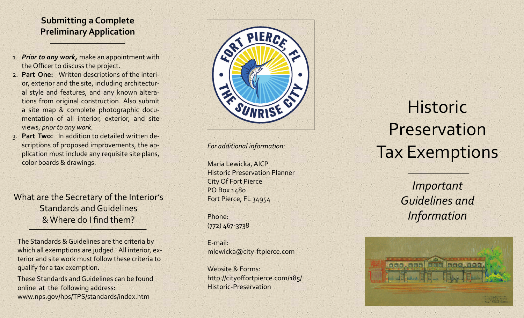# **Submitting <sup>a</sup> Complete PreliminaryApplication**

- 1. *Prior to any work,* make an appointment with the Officer to discuss the project.
- 2. **Part One:** Written descriptions of the interi‐ or, exterior and the site, including architectur‐ al style and features, and any known altera‐ tions from original construction. Also submit a site map & complete photographic docu‐ mentation of all interior, exterior, and site views, *prior to any work*.
- 3. **Part Two:** In addition to detailed written de‐ scriptions of proposed improvements, the application must include any requisite site plans, color boards & drawings.

What are the Secretary of the Interior's Standards and Guidelines & Where do I find them?

The Standards & Guidelines are the criteria by which all exemptions are judged. All interior, ex‐ terior and site work must follow these criteria to qualify for <sup>a</sup> tax exemption.

These Standards andGuidelines can be foundonline at the following address: www.nps.gov/hps/TPS/standards/index.htm



*For additional information:*

Maria Lewicka, AICP Historic Preservation Planner City Of Fort Pierce PO Box 1480 Fort Pierce, FL 34954

Phone:(772) 467‐3738

E‐mail:mlewicka@city‐ftpierce.com

Website & Forms: http://cityoffortpierce.com/185/ Historic‐Preservation

HistoricPreservationTax Exemptions

> *Important Guidelines andInformation*

<u> Kanang Ilang Indonesi</u>